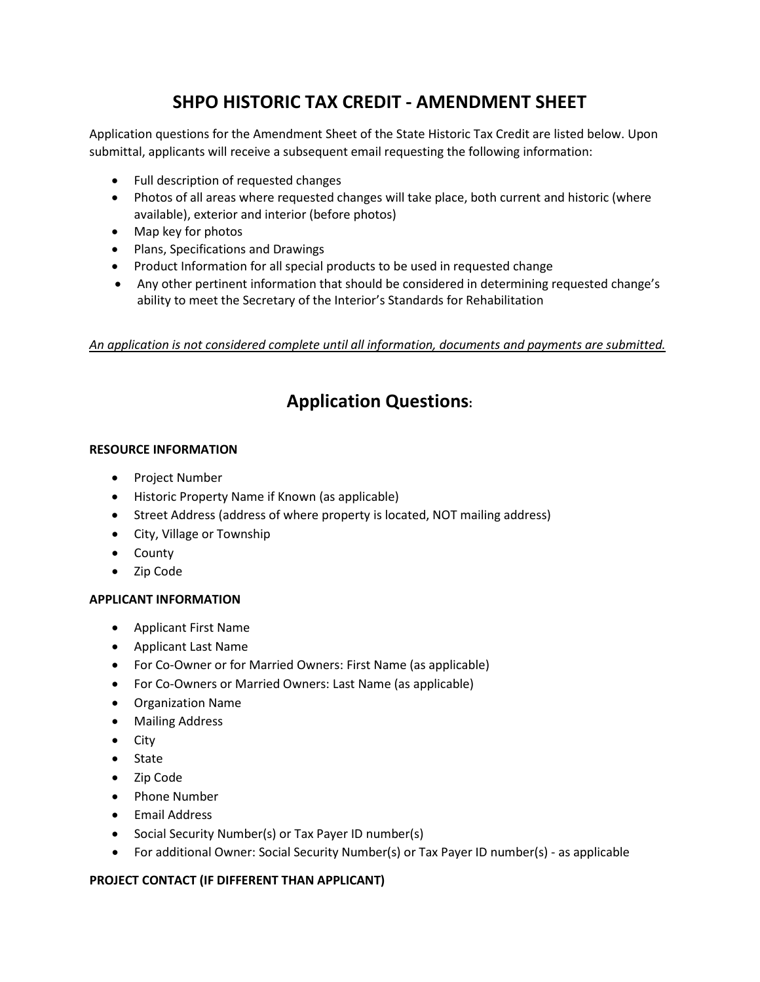# **SHPO HISTORIC TAX CREDIT - AMENDMENT SHEET**

Application questions for the Amendment Sheet of the State Historic Tax Credit are listed below. Upon submittal, applicants will receive a subsequent email requesting the following information:

- Full description of requested changes
- Photos of all areas where requested changes will take place, both current and historic (where available), exterior and interior (before photos)
- Map key for photos
- Plans, Specifications and Drawings
- Product Information for all special products to be used in requested change
- Any other pertinent information that should be considered in determining requested change's ability to meet the Secretary of the Interior's Standards for Rehabilitation

*An application is not considered complete until all information, documents and payments are submitted.* 

# **Application Questions:**

## **RESOURCE INFORMATION**

- Project Number
- Historic Property Name if Known (as applicable)
- Street Address (address of where property is located, NOT mailing address)
- City, Village or Township
- County
- Zip Code

## **APPLICANT INFORMATION**

- Applicant First Name
- Applicant Last Name
- For Co-Owner or for Married Owners: First Name (as applicable)
- For Co-Owners or Married Owners: Last Name (as applicable)
- Organization Name
- Mailing Address
- City
- State
- Zip Code
- Phone Number
- Email Address
- Social Security Number(s) or Tax Payer ID number(s)
- For additional Owner: Social Security Number(s) or Tax Payer ID number(s) as applicable

## **PROJECT CONTACT (IF DIFFERENT THAN APPLICANT)**